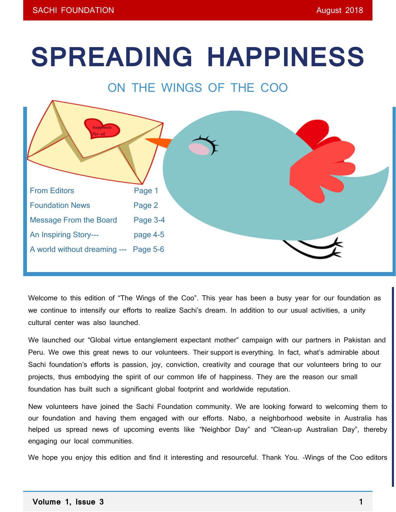# **SPREADING HAPPINESS**



Welcome to this edition of "The Wings of the Coo". This year has been a busy year for our foundation as we continue to intensify our efforts to realize Sachi's dream. In addition to our usual activities, a unity cultural center was also launched.

We launched our "Global virtue entanglement expectant mother" campaign with our partners in Pakistan and Peru. We owe this great news to our volunteers. Their support is everything. In fact, what's admirable about Sachi foundation's efforts is passion, joy, conviction, creativity and courage that our volunteers bring to our projects, thus embodying the spirit of our common life of happiness. They are the reason our small foundation has built such a significant global footprint and worldwide reputation.

New volunteers have joined the Sachi Foundation community. We are looking forward to welcoming them to our foundation and having them engaged with our efforts. Nabo, a neighborhood website in Australia has helped us spread news of upcoming events like "Neighbor Day" and "Clean-up Australian Day", thereby engaging our local communities.

We hope you enjoy this edition and find it interesting and resourceful. Thank You. -Wings of the Coo editors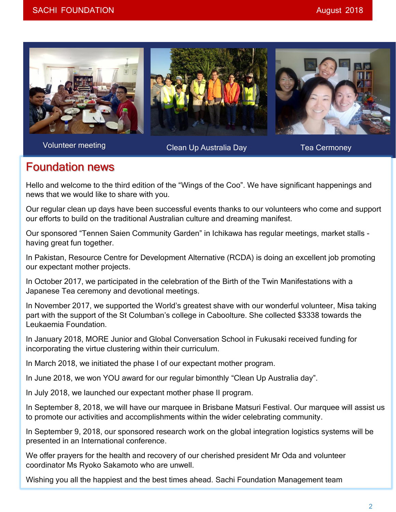

Volunteer meeting

Clean Up Australia Day **Tea Cermoney** 

## Foundation news

Hello and welcome to the third edition of the "Wings of the Coo". We have significant happenings and news that we would like to share with you.

Our regular clean up days have been successful events thanks to our volunteers who come and support our efforts to build on the traditional Australian culture and dreaming manifest.

Our sponsored "Tennen Saien Community Garden" in Ichikawa has regular meetings, market stalls having great fun together.

In Pakistan, Resource Centre for Development Alternative (RCDA) is doing an excellent job promoting our expectant mother projects.

In October 2017, we participated in the celebration of the Birth of the Twin Manifestations with a Japanese Tea ceremony and devotional meetings.

In November 2017, we supported the World's greatest shave with our wonderful volunteer, Misa taking part with the support of the St Columban's college in Caboolture. She collected \$3338 towards the Leukaemia Foundation.

In January 2018, MORE Junior and Global Conversation School in Fukusaki received funding for incorporating the virtue clustering within their curriculum.

In March 2018, we initiated the phase I of our expectant mother program.

In June 2018, we won YOU award for our regular bimonthly "Clean Up Australia day".

In July 2018, we launched our expectant mother phase II program.

In September 8, 2018, we will have our marquee in Brisbane Matsuri Festival. Our marquee will assist us to promote our activities and accomplishments within the wider celebrating community.

In September 9, 2018, our sponsored research work on the global integration logistics systems will be presented in an International conference.

We offer prayers for the health and recovery of our cherished president Mr Oda and volunteer coordinator Ms Ryoko Sakamoto who are unwell.

Wishing you all the happiest and the best times ahead. Sachi Foundation Management team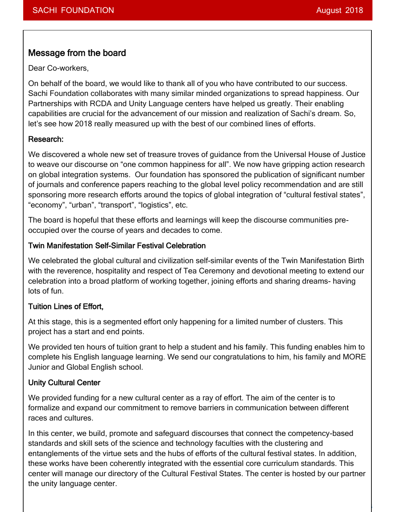3

## Message from the board

Dear Co-workers,

On behalf of the board, we would like to thank all of you who have contributed to our success. Sachi Foundation collaborates with many similar minded organizations to spread happiness. Our Partnerships with RCDA and Unity Language centers have helped us greatly. Their enabling capabilities are crucial for the advancement of our mission and realization of Sachi's dream. So, let's see how 2018 really measured up with the best of our combined lines of efforts.

#### Research:

We discovered a whole new set of treasure troves of guidance from the Universal House of Justice to weave our discourse on "one common happiness for all". We now have gripping action research on global integration systems. Our foundation has sponsored the publication of significant number of journals and conference papers reaching to the global level policy recommendation and are still sponsoring more research efforts around the topics of global integration of "cultural festival states", "economy", "urban", "transport", "logistics", etc.

The board is hopeful that these efforts and learnings will keep the discourse communities preoccupied over the course of years and decades to come.

#### Twin Manifestation Self-Similar Festival Celebration

We celebrated the global cultural and civilization self-similar events of the Twin Manifestation Birth with the reverence, hospitality and respect of Tea Ceremony and devotional meeting to extend our celebration into a broad platform of working together, joining efforts and sharing dreams- having lots of fun.

#### Tuition Lines of Effort,

At this stage, this is a segmented effort only happening for a limited number of clusters. This project has a start and end points.

We provided ten hours of tuition grant to help a student and his family. This funding enables him to complete his English language learning. We send our congratulations to him, his family and MORE Junior and Global English school.

#### Unity Cultural Center

We provided funding for a new cultural center as a ray of effort. The aim of the center is to formalize and expand our commitment to remove barriers in communication between different races and cultures.

In this center, we build, promote and safeguard discourses that connect the competency-based standards and skill sets of the science and technology faculties with the clustering and entanglements of the virtue sets and the hubs of efforts of the cultural festival states. In addition, these works have been coherently integrated with the essential core curriculum standards. This center will manage our directory of the Cultural Festival States. The center is hosted by our partner the unity language center.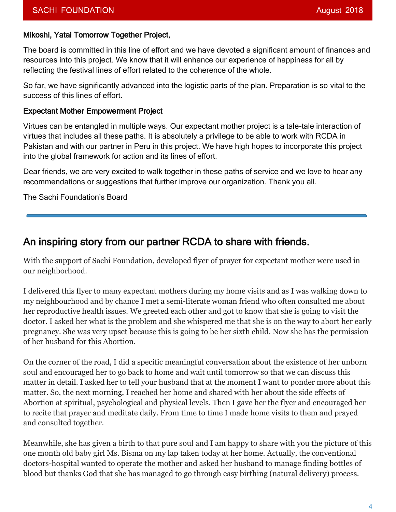#### Mikoshi, Yatai Tomorrow Together Project,

The board is committed in this line of effort and we have devoted a significant amount of finances and resources into this project. We know that it will enhance our experience of happiness for all by reflecting the festival lines of effort related to the coherence of the whole.

So far, we have significantly advanced into the logistic parts of the plan. Preparation is so vital to the success of this lines of effort.

#### Expectant Mother Empowerment Project

Virtues can be entangled in multiple ways. Our expectant mother project is a tale-tale interaction of virtues that includes all these paths. It is absolutely a privilege to be able to work with RCDA in Pakistan and with our partner in Peru in this project. We have high hopes to incorporate this project into the global framework for action and its lines of effort.

Dear friends, we are very excited to walk together in these paths of service and we love to hear any recommendations or suggestions that further improve our organization. Thank you all.

The Sachi Foundation's Board

## An inspiring story from our partner RCDA to share with friends.

With the support of Sachi Foundation, developed flyer of prayer for expectant mother were used in our neighborhood.

I delivered this flyer to many expectant mothers during my home visits and as I was walking down to my neighbourhood and by chance I met a semi-literate woman friend who often consulted me about her reproductive health issues. We greeted each other and got to know that she is going to visit the doctor. I asked her what is the problem and she whispered me that she is on the way to abort her early pregnancy. She was very upset because this is going to be her sixth child. Now she has the permission of her husband for this Abortion.

On the corner of the road, I did a specific meaningful conversation about the existence of her unborn soul and encouraged her to go back to home and wait until tomorrow so that we can discuss this matter in detail. I asked her to tell your husband that at the moment I want to ponder more about this matter. So, the next morning, I reached her home and shared with her about the side effects of Abortion at spiritual, psychological and physical levels. Then I gave her the flyer and encouraged her to recite that prayer and meditate daily. From time to time I made home visits to them and prayed and consulted together.

Meanwhile, she has given a birth to that pure soul and I am happy to share with you the picture of this one month old baby girl Ms. Bisma on my lap taken today at her home. Actually, the conventional doctors-hospital wanted to operate the mother and asked her husband to manage finding bottles of blood but thanks God that she has managed to go through easy birthing (natural delivery) process.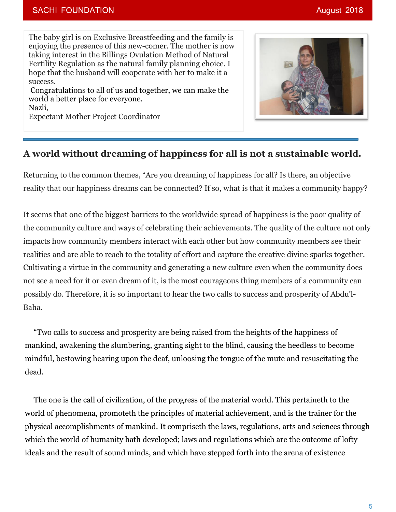#### SACHI FOUNDATION **August 2018**

The baby girl is on Exclusive Breastfeeding and the family is enjoying the presence of this new-comer. The mother is now taking interest in the Billings Ovulation Method of Natural Fertility Regulation as the natural family planning choice. I hope that the husband will cooperate with her to make it a success.

Congratulations to all of us and together, we can make the world a better place for everyone. Nazli,

Expectant Mother Project Coordinator



### **A world without dreaming of happiness for all is not a sustainable world.**

Returning to the common themes, "Are you dreaming of happiness for all? Is there, an objective reality that our happiness dreams can be connected? If so, what is that it makes a community happy?

It seems that one of the biggest barriers to the worldwide spread of happiness is the poor quality of the community culture and ways of celebrating their achievements. The quality of the culture not only impacts how community members interact with each other but how community members see their realities and are able to reach to the totality of effort and capture the creative divine sparks together. Cultivating a virtue in the community and generating a new culture even when the community does not see a need for it or even dream of it, is the most courageous thing members of a community can possibly do. Therefore, it is so important to hear the two calls to success and prosperity of Abdu'l-Baha.

"Two calls to success and prosperity are being raised from the heights of the happiness of mankind, awakening the slumbering, granting sight to the blind, causing the heedless to become mindful, bestowing hearing upon the deaf, unloosing the tongue of the mute and resuscitating the dead.

The one is the call of civilization, of the progress of the material world. This pertaineth to the world of phenomena, promoteth the principles of material achievement, and is the trainer for the physical accomplishments of mankind. It compriseth the laws, regulations, arts and sciences through which the world of humanity hath developed; laws and regulations which are the outcome of lofty ideals and the result of sound minds, and which have stepped forth into the arena of existence